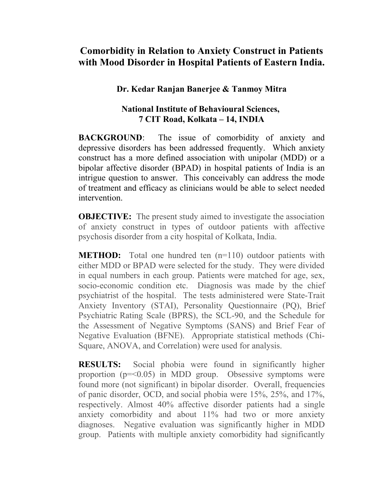## **Comorbidity in Relation to Anxiety Construct in Patients with Mood Disorder in Hospital Patients of Eastern India.**

## **Dr. Kedar Ranjan Banerjee & Tanmoy Mitra**

## **National Institute of Behavioural Sciences, 7 CIT Road, Kolkata – 14, INDIA**

**BACKGROUND:** The issue of comorbidity of anxiety and depressive disorders has been addressed frequently. Which anxiety construct has a more defined association with unipolar (MDD) or a bipolar affective disorder (BPAD) in hospital patients of India is an intrigue question to answer. This conceivably can address the mode of treatment and efficacy as clinicians would be able to select needed intervention.

**OBJECTIVE:** The present study aimed to investigate the association of anxiety construct in types of outdoor patients with affective psychosis disorder from a city hospital of Kolkata, India.

**METHOD:** Total one hundred ten (n=110) outdoor patients with either MDD or BPAD were selected for the study. They were divided in equal numbers in each group. Patients were matched for age, sex, socio-economic condition etc. Diagnosis was made by the chief psychiatrist of the hospital. The tests administered were State-Trait Anxiety Inventory (STAI), Personality Questionnaire (PQ), Brief Psychiatric Rating Scale (BPRS), the SCL-90, and the Schedule for the Assessment of Negative Symptoms (SANS) and Brief Fear of Negative Evaluation (BFNE). Appropriate statistical methods (Chi-Square, ANOVA, and Correlation) were used for analysis.

**RESULTS:** Social phobia were found in significantly higher proportion  $(p=<0.05)$  in MDD group. Obsessive symptoms were found more (not significant) in bipolar disorder. Overall, frequencies of panic disorder, OCD, and social phobia were 15%, 25%, and 17%, respectively. Almost 40% affective disorder patients had a single anxiety comorbidity and about 11% had two or more anxiety diagnoses. Negative evaluation was significantly higher in MDD group. Patients with multiple anxiety comorbidity had significantly